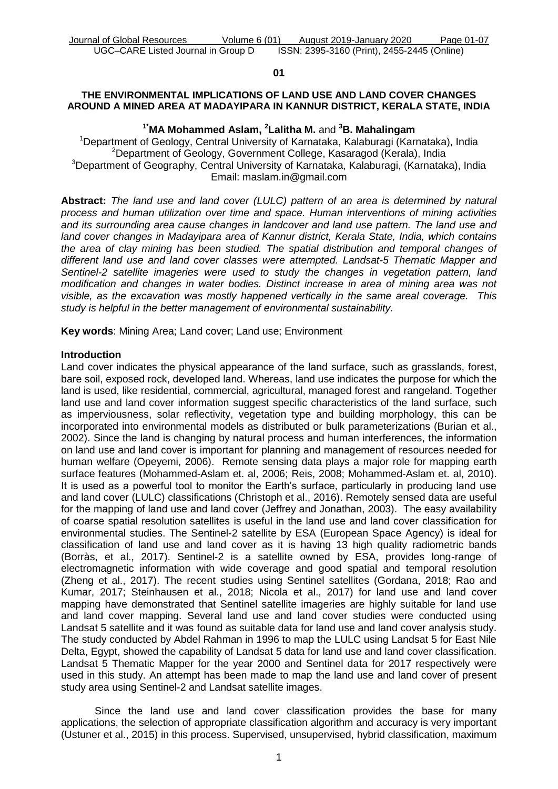#### **01**

#### **THE ENVIRONMENTAL IMPLICATIONS OF LAND USE AND LAND COVER CHANGES AROUND A MINED AREA AT MADAYIPARA IN KANNUR DISTRICT, KERALA STATE, INDIA**

### **1\*MA Mohammed Aslam, <sup>2</sup>Lalitha M.** and **<sup>3</sup>B. Mahalingam**

<sup>1</sup>Department of Geology, Central University of Karnataka, Kalaburagi (Karnataka), India <sup>2</sup>Department of Geology, Government College, Kasaragod (Kerala), India <sup>3</sup>Department of Geography, Central University of Karnataka, Kalaburagi, (Karnataka), India Email: maslam.in@gmail.com

**Abstract:** *The land use and land cover (LULC) pattern of an area is determined by natural process and human utilization over time and space. Human interventions of mining activities and its surrounding area cause changes in landcover and land use pattern. The land use and land cover changes in Madayipara area of Kannur district, Kerala State, India, which contains the area of clay mining has been studied. The spatial distribution and temporal changes of different land use and land cover classes were attempted. Landsat-5 Thematic Mapper and Sentinel-2 satellite imageries were used to study the changes in vegetation pattern, land modification and changes in water bodies. Distinct increase in area of mining area was not visible, as the excavation was mostly happened vertically in the same areal coverage. This study is helpful in the better management of environmental sustainability.*

**Key words**: Mining Area; Land cover; Land use; Environment

### **Introduction**

Land cover indicates the physical appearance of the land surface, such as grasslands, forest, bare soil, exposed rock, developed land. Whereas, land use indicates the purpose for which the land is used, like residential, commercial, agricultural, managed forest and rangeland. Together land use and land cover information suggest specific characteristics of the land surface, such as imperviousness, solar reflectivity, vegetation type and building morphology, this can be incorporated into environmental models as distributed or bulk parameterizations (Burian et al., 2002). Since the land is changing by natural process and human interferences, the information on land use and land cover is important for planning and management of resources needed for human welfare (Opeyemi, 2006). Remote sensing data plays a major role for mapping earth surface features (Mohammed-Aslam et. al, 2006; Reis, 2008; Mohammed-Aslam et. al, 2010). It is used as a powerful tool to monitor the Earth's surface, particularly in producing land use and land cover (LULC) classifications (Christoph et al., 2016). Remotely sensed data are useful for the mapping of land use and land cover (Jeffrey and Jonathan, 2003). The easy availability of coarse spatial resolution satellites is useful in the land use and land cover classification for environmental studies. The Sentinel-2 satellite by ESA (European Space Agency) is ideal for classification of land use and land cover as it is having 13 high quality radiometric bands (Borràs, et al., 2017). Sentinel-2 is a satellite owned by ESA, provides long-range of electromagnetic information with wide coverage and good spatial and temporal resolution (Zheng et al., 2017). The recent studies using Sentinel satellites (Gordana, 2018; Rao and Kumar, 2017; Steinhausen et al., 2018; Nicola et al., 2017) for land use and land cover mapping have demonstrated that Sentinel satellite imageries are highly suitable for land use and land cover mapping. Several land use and land cover studies were conducted using Landsat 5 satellite and it was found as suitable data for land use and land cover analysis study. The study conducted by Abdel Rahman in 1996 to map the LULC using Landsat 5 for East Nile Delta, Egypt, showed the capability of Landsat 5 data for land use and land cover classification. Landsat 5 Thematic Mapper for the year 2000 and Sentinel data for 2017 respectively were used in this study. An attempt has been made to map the land use and land cover of present study area using Sentinel-2 and Landsat satellite images.

Since the land use and land cover classification provides the base for many applications, the selection of appropriate classification algorithm and accuracy is very important (Ustuner et al., 2015) in this process. Supervised, unsupervised, hybrid classification, maximum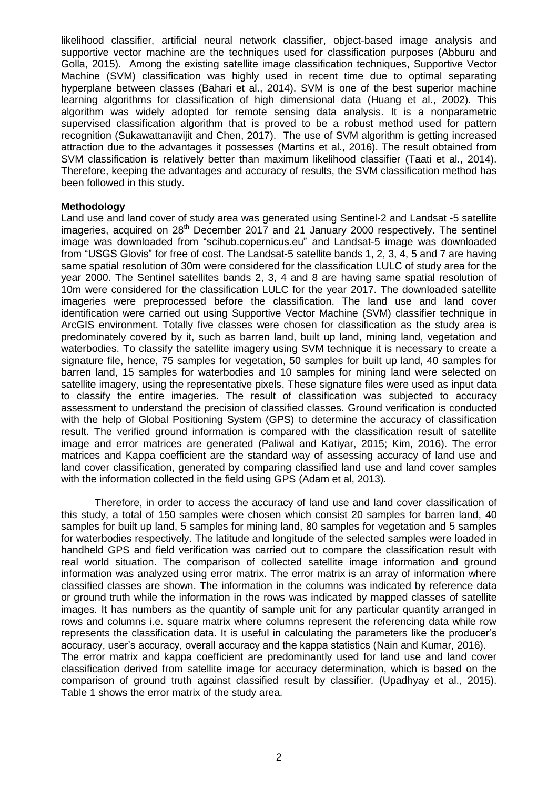likelihood classifier, artificial neural network classifier, object-based image analysis and supportive vector machine are the techniques used for classification purposes (Abburu and Golla, 2015). Among the existing satellite image classification techniques, Supportive Vector Machine (SVM) classification was highly used in recent time due to optimal separating hyperplane between classes (Bahari et al., 2014). SVM is one of the best superior machine learning algorithms for classification of high dimensional data (Huang et al., 2002). This algorithm was widely adopted for remote sensing data analysis. It is a nonparametric supervised classification algorithm that is proved to be a robust method used for pattern recognition (Sukawattanavijit and Chen, 2017). The use of SVM algorithm is getting increased attraction due to the advantages it possesses (Martins et al., 2016). The result obtained from SVM classification is relatively better than maximum likelihood classifier (Taati et al., 2014). Therefore, keeping the advantages and accuracy of results, the SVM classification method has been followed in this study.

### **Methodology**

Land use and land cover of study area was generated using Sentinel-2 and Landsat -5 satellite imageries, acquired on 28<sup>th</sup> December 2017 and 21 January 2000 respectively. The sentinel image was downloaded from "scihub.copernicus.eu" and Landsat-5 image was downloaded from "USGS Glovis" for free of cost. The Landsat-5 satellite bands 1, 2, 3, 4, 5 and 7 are having same spatial resolution of 30m were considered for the classification LULC of study area for the year 2000. The Sentinel satellites bands 2, 3, 4 and 8 are having same spatial resolution of 10m were considered for the classification LULC for the year 2017. The downloaded satellite imageries were preprocessed before the classification. The land use and land cover identification were carried out using Supportive Vector Machine (SVM) classifier technique in ArcGIS environment. Totally five classes were chosen for classification as the study area is predominately covered by it, such as barren land, built up land, mining land, vegetation and waterbodies. To classify the satellite imagery using SVM technique it is necessary to create a signature file, hence, 75 samples for vegetation, 50 samples for built up land, 40 samples for barren land, 15 samples for waterbodies and 10 samples for mining land were selected on satellite imagery, using the representative pixels. These signature files were used as input data to classify the entire imageries. The result of classification was subjected to accuracy assessment to understand the precision of classified classes. Ground verification is conducted with the help of Global Positioning System (GPS) to determine the accuracy of classification result. The verified ground information is compared with the classification result of satellite image and error matrices are generated (Paliwal and Katiyar, 2015; Kim, 2016). The error matrices and Kappa coefficient are the standard way of assessing accuracy of land use and land cover classification, generated by comparing classified land use and land cover samples with the information collected in the field using GPS (Adam et al, 2013).

Therefore, in order to access the accuracy of land use and land cover classification of this study, a total of 150 samples were chosen which consist 20 samples for barren land, 40 samples for built up land, 5 samples for mining land, 80 samples for vegetation and 5 samples for waterbodies respectively. The latitude and longitude of the selected samples were loaded in handheld GPS and field verification was carried out to compare the classification result with real world situation. The comparison of collected satellite image information and ground information was analyzed using error matrix. The error matrix is an array of information where classified classes are shown. The information in the columns was indicated by reference data or ground truth while the information in the rows was indicated by mapped classes of satellite images. It has numbers as the quantity of sample unit for any particular quantity arranged in rows and columns i.e. square matrix where columns represent the referencing data while row represents the classification data. It is useful in calculating the parameters like the producer's accuracy, user's accuracy, overall accuracy and the kappa statistics (Nain and Kumar, 2016). The error matrix and kappa coefficient are predominantly used for land use and land cover classification derived from satellite image for accuracy determination, which is based on the comparison of ground truth against classified result by classifier. (Upadhyay et al., 2015). Table 1 shows the error matrix of the study area.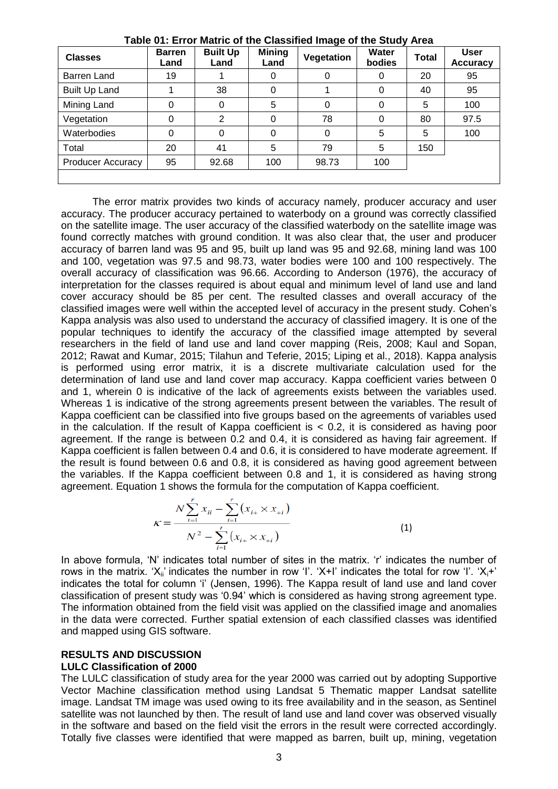| <b>Classes</b>           | <b>Barren</b><br>Land | <b>Built Up</b><br>Land | <b>Mining</b><br>Land | Vegetation | Water<br>bodies | <b>Total</b> | <b>User</b><br><b>Accuracy</b> |
|--------------------------|-----------------------|-------------------------|-----------------------|------------|-----------------|--------------|--------------------------------|
| Barren Land              | 19                    |                         | 0                     | O          | 0               | 20           | 95                             |
| <b>Built Up Land</b>     |                       | 38                      | 0                     |            | 0               | 40           | 95                             |
| Mining Land              | 0                     | 0                       | 5                     | 0          | 0               | 5            | 100                            |
| Vegetation               | 0                     | 2                       | 0                     | 78         | 0               | 80           | 97.5                           |
| Waterbodies              | 0                     | 0                       | $\Omega$              | 0          | 5               | 5            | 100                            |
| Total                    | 20                    | 41                      | 5                     | 79         | 5               | 150          |                                |
| <b>Producer Accuracy</b> | 95                    | 92.68                   | 100                   | 98.73      | 100             |              |                                |
|                          |                       |                         |                       |            |                 |              |                                |

**Table 01: Error Matric of the Classified Image of the Study Area**

 The error matrix provides two kinds of accuracy namely, producer accuracy and user accuracy. The producer accuracy pertained to waterbody on a ground was correctly classified on the satellite image. The user accuracy of the classified waterbody on the satellite image was found correctly matches with ground condition. It was also clear that, the user and producer accuracy of barren land was 95 and 95, built up land was 95 and 92.68, mining land was 100 and 100, vegetation was 97.5 and 98.73, water bodies were 100 and 100 respectively. The overall accuracy of classification was 96.66. According to Anderson (1976), the accuracy of interpretation for the classes required is about equal and minimum level of land use and land cover accuracy should be 85 per cent. The resulted classes and overall accuracy of the classified images were well within the accepted level of accuracy in the present study. Cohen's Kappa analysis was also used to understand the accuracy of classified imagery. It is one of the popular techniques to identify the accuracy of the classified image attempted by several researchers in the field of land use and land cover mapping (Reis, 2008; Kaul and Sopan, 2012; Rawat and Kumar, 2015; Tilahun and Teferie, 2015; Liping et al., 2018). Kappa analysis is performed using error matrix, it is a discrete multivariate calculation used for the determination of land use and land cover map accuracy. Kappa coefficient varies between 0 and 1, wherein 0 is indicative of the lack of agreements exists between the variables used. Whereas 1 is indicative of the strong agreements present between the variables. The result of Kappa coefficient can be classified into five groups based on the agreements of variables used in the calculation. If the result of Kappa coefficient is  $< 0.2$ , it is considered as having poor agreement. If the range is between 0.2 and 0.4, it is considered as having fair agreement. If Kappa coefficient is fallen between 0.4 and 0.6, it is considered to have moderate agreement. If the result is found between 0.6 and 0.8, it is considered as having good agreement between the variables. If the Kappa coefficient between 0.8 and 1, it is considered as having strong agreement. Equation 1 shows the formula for the computation of Kappa coefficient.

$$
\kappa = \frac{N \sum_{i=1}^{r} x_{ii} - \sum_{i=1}^{r} (x_{i+} \times x_{+i})}{N^2 - \sum_{i=1}^{r} (x_{i+} \times x_{+i})}
$$
(1)

In above formula, 'N' indicates total number of sites in the matrix. 'r' indicates the number of rows in the matrix. ' $X_{ii}$ ' indicates the number in row 'I'. ' $X+1$ ' indicates the total for row 'I'. ' $X_i+1$ ' indicates the total for column 'i' (Jensen, 1996). The Kappa result of land use and land cover classification of present study was '0.94' which is considered as having strong agreement type. The information obtained from the field visit was applied on the classified image and anomalies in the data were corrected. Further spatial extension of each classified classes was identified and mapped using GIS software.

### **RESULTS AND DISCUSSION LULC Classification of 2000**

The LULC classification of study area for the year 2000 was carried out by adopting Supportive Vector Machine classification method using Landsat 5 Thematic mapper Landsat satellite image. Landsat TM image was used owing to its free availability and in the season, as Sentinel satellite was not launched by then. The result of land use and land cover was observed visually in the software and based on the field visit the errors in the result were corrected accordingly. Totally five classes were identified that were mapped as barren, built up, mining, vegetation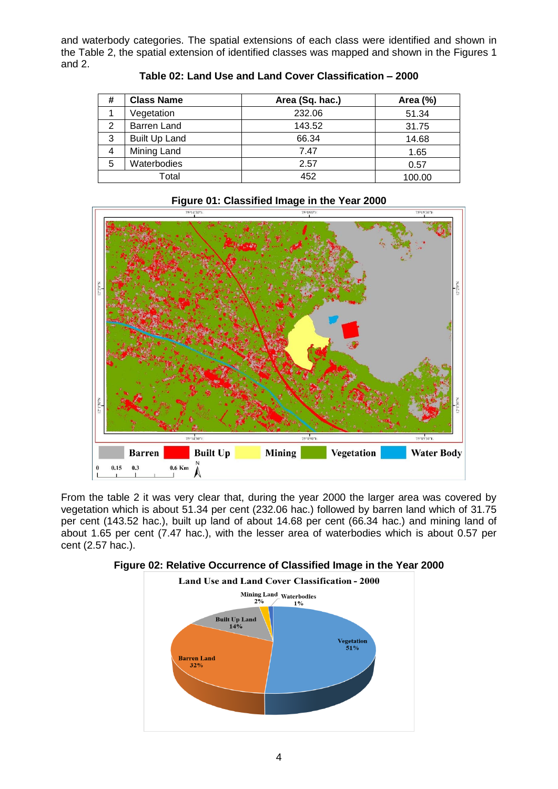and waterbody categories. The spatial extensions of each class were identified and shown in the Table 2, the spatial extension of identified classes was mapped and shown in the Figures 1 and 2.

| #          | <b>Class Name</b>    | Area (Sq. hac.) |       |
|------------|----------------------|-----------------|-------|
| Vegetation |                      | 232.06          | 51.34 |
| 2          | Barren Land          | 143.52          | 31.75 |
| 3          | <b>Built Up Land</b> | 66.34           | 14.68 |
| 4          | Mining Land          | 7.47            | 1.65  |
| 5          | Waterbodies          | 2.57            | 0.57  |
| Total      |                      | 452             |       |

**Table 02: Land Use and Land Cover Classification – 2000**



From the table 2 it was very clear that, during the year 2000 the larger area was covered by vegetation which is about 51.34 per cent (232.06 hac.) followed by barren land which of 31.75 per cent (143.52 hac.), built up land of about 14.68 per cent (66.34 hac.) and mining land of about 1.65 per cent (7.47 hac.), with the lesser area of waterbodies which is about 0.57 per cent (2.57 hac.).



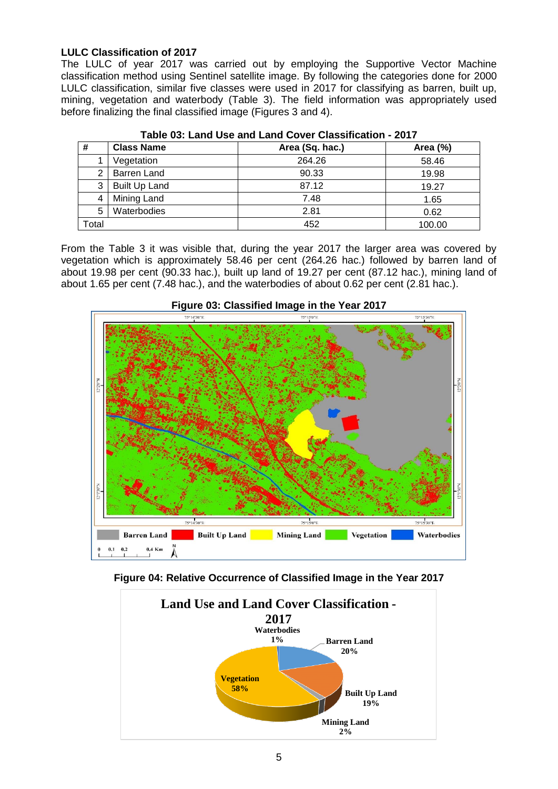# **LULC Classification of 2017**

The LULC of year 2017 was carried out by employing the Supportive Vector Machine classification method using Sentinel satellite image. By following the categories done for 2000 LULC classification, similar five classes were used in 2017 for classifying as barren, built up, mining, vegetation and waterbody (Table 3). The field information was appropriately used before finalizing the final classified image (Figures 3 and 4).

| #     | <b>Class Name</b>    | Area (Sq. hac.) | Area (%) |
|-------|----------------------|-----------------|----------|
|       | Vegetation           | 264.26          | 58.46    |
| 2     | Barren Land          | 90.33           | 19.98    |
| 3     | <b>Built Up Land</b> | 87.12           | 19.27    |
| 4     | Mining Land          | 7.48            | 1.65     |
| 5     | Waterbodies          | 2.81            | 0.62     |
| Total |                      | 452             | 100.00   |

| Table 03: Land Use and Land Cover Classification - 2017 |  |
|---------------------------------------------------------|--|
|---------------------------------------------------------|--|

From the Table 3 it was visible that, during the year 2017 the larger area was covered by vegetation which is approximately 58.46 per cent (264.26 hac.) followed by barren land of about 19.98 per cent (90.33 hac.), built up land of 19.27 per cent (87.12 hac.), mining land of about 1.65 per cent (7.48 hac.), and the waterbodies of about 0.62 per cent (2.81 hac.).





**Figure 04: Relative Occurrence of Classified Image in the Year 2017**

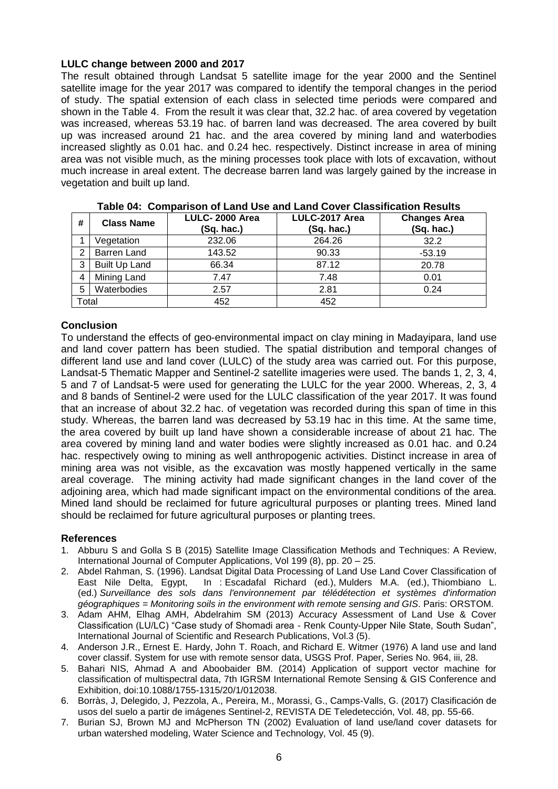## **LULC change between 2000 and 2017**

The result obtained through Landsat 5 satellite image for the year 2000 and the Sentinel satellite image for the year 2017 was compared to identify the temporal changes in the period of study. The spatial extension of each class in selected time periods were compared and shown in the Table 4. From the result it was clear that, 32.2 hac. of area covered by vegetation was increased, whereas 53.19 hac. of barren land was decreased. The area covered by built up was increased around 21 hac. and the area covered by mining land and waterbodies increased slightly as 0.01 hac. and 0.24 hec. respectively. Distinct increase in area of mining area was not visible much, as the mining processes took place with lots of excavation, without much increase in areal extent. The decrease barren land was largely gained by the increase in vegetation and built up land.

| #     | <b>Class Name</b>    | LULC-2000 Area<br>(Sq. hac.) | LULC-2017 Area<br>(Sq. hac.) | <b>Changes Area</b><br>(Sq. hac.) |
|-------|----------------------|------------------------------|------------------------------|-----------------------------------|
|       | Vegetation           | 232.06                       | 264.26                       | 32.2                              |
| 2     | <b>Barren Land</b>   | 143.52                       | 90.33                        | $-53.19$                          |
| 3     | <b>Built Up Land</b> | 66.34                        | 87.12                        | 20.78                             |
| 4     | Mining Land          | 7.47                         | 7.48                         | 0.01                              |
| 5     | Waterbodies          | 2.57                         | 2.81                         | 0.24                              |
| Total |                      | 452                          | 452                          |                                   |

|  |  |  |  |  | Table 04: Comparison of Land Use and Land Cover Classification Results |  |
|--|--|--|--|--|------------------------------------------------------------------------|--|
|--|--|--|--|--|------------------------------------------------------------------------|--|

## **Conclusion**

To understand the effects of geo-environmental impact on clay mining in Madayipara, land use and land cover pattern has been studied. The spatial distribution and temporal changes of different land use and land cover (LULC) of the study area was carried out. For this purpose, Landsat-5 Thematic Mapper and Sentinel-2 satellite imageries were used. The bands 1, 2, 3, 4, 5 and 7 of Landsat-5 were used for generating the LULC for the year 2000. Whereas, 2, 3, 4 and 8 bands of Sentinel-2 were used for the LULC classification of the year 2017. It was found that an increase of about 32.2 hac. of vegetation was recorded during this span of time in this study. Whereas, the barren land was decreased by 53.19 hac in this time. At the same time, the area covered by built up land have shown a considerable increase of about 21 hac. The area covered by mining land and water bodies were slightly increased as 0.01 hac. and 0.24 hac. respectively owing to mining as well anthropogenic activities. Distinct increase in area of mining area was not visible, as the excavation was mostly happened vertically in the same areal coverage. The mining activity had made significant changes in the land cover of the adjoining area, which had made significant impact on the environmental conditions of the area. Mined land should be reclaimed for future agricultural purposes or planting trees. Mined land should be reclaimed for future agricultural purposes or planting trees.

## **References**

- 1. Abburu S and Golla S B (2015) Satellite Image Classification Methods and Techniques: A Review, International Journal of Computer Applications, Vol 199 (8), pp. 20 – 25.
- 2. Abdel Rahman, S. (1996). Landsat Digital Data Processing of Land Use Land Cover Classification of East Nile Delta, Egypt, In : Escadafal Richard (ed.), Mulders M.A. (ed.), Thiombiano L. (ed.) *Surveillance des sols dans l'environnement par télédétection et systèmes d'information géographiques = Monitoring soils in the environment with remote sensing and GIS*. Paris: ORSTOM.
- 3. Adam AHM, Elhag AMH, Abdelrahim SM (2013) Accuracy Assessment of Land Use & Cover Classification (LU/LC) "Case study of Shomadi area - Renk County-Upper Nile State, South Sudan", International Journal of Scientific and Research Publications, Vol.3 (5).
- 4. Anderson J.R., Ernest E. Hardy, John T. Roach, and Richard E. Witmer (1976) A land use and land cover classif. System for use with remote sensor data, USGS Prof. Paper, Series No. 964, iii, 28.
- 5. Bahari NIS, Ahmad A and Aboobaider BM. (2014) Application of support vector machine for classification of multispectral data, 7th IGRSM International Remote Sensing & GIS Conference and Exhibition, doi:10.1088/1755-1315/20/1/012038.
- 6. Borràs, J, Delegido, J, Pezzola, A., Pereira, M., Morassi, G., Camps-Valls, G. (2017) Clasificación de usos del suelo a partir de imágenes Sentinel-2, REVISTA DE Teledetección, Vol. 48, pp. 55-66.
- 7. Burian SJ, Brown MJ and McPherson TN (2002) Evaluation of land use/land cover datasets for urban watershed modeling, Water Science and Technology, Vol. 45 (9).